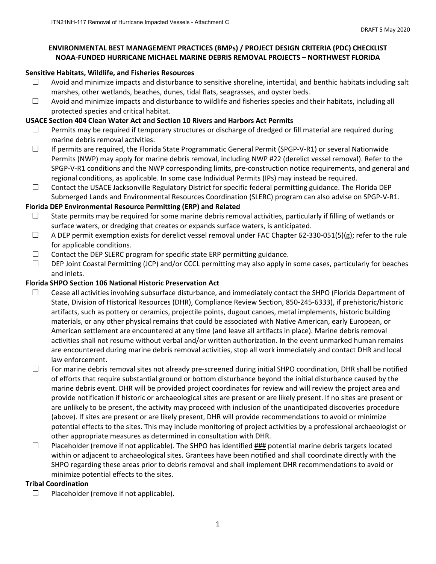### **ENVIRONMENTAL BEST MANAGEMENT PRACTICES (BMPs) / PROJECT DESIGN CRITERIA (PDC) CHECKLIST NOAA‐FUNDED HURRICANE MICHAEL MARINE DEBRIS REMOVAL PROJECTS – NORTHWEST FLORIDA**

### **Sensitive Habitats, Wildlife, and Fisheries Resources**

- $\Box$  Avoid and minimize impacts and disturbance to sensitive shoreline, intertidal, and benthic habitats including salt marshes, other wetlands, beaches, dunes, tidal flats, seagrasses, and oyster beds.
- $\Box$  Avoid and minimize impacts and disturbance to wildlife and fisheries species and their habitats, including all protected species and critical habitat.

### **USACE Section 404 Clean Water Act and Section 10 Rivers and Harbors Act Permits**

- $\Box$  Permits may be required if temporary structures or discharge of dredged or fill material are required during marine debris removal activities.
- If permits are required, the Florida State Programmatic General Permit (SPGP‐V‐R1) or several Nationwide Permits (NWP) may apply for marine debris removal, including NWP #22 (derelict vessel removal). Refer to the SPGP‐V‐R1 conditions and the NWP corresponding limits, pre‐construction notice requirements, and general and regional conditions, as applicable. In some case Individual Permits (IPs) may instead be required.
- $\Box$  Contact the USACE Jacksonville Regulatory District for specific federal permitting guidance. The Florida DEP Submerged Lands and Environmental Resources Coordination (SLERC) program can also advise on SPGP‐V‐R1.

### **Florida DEP Environmental Resource Permitting (ERP) and Related**

- $\Box$  State permits may be required for some marine debris removal activities, particularly if filling of wetlands or surface waters, or dredging that creates or expands surface waters, is anticipated.
- $\Box$  A DEP permit exemption exists for derelict vessel removal under FAC Chapter 62-330-051(5)(g); refer to the rule for applicable conditions.
- $\Box$  Contact the DEP SLERC program for specific state ERP permitting guidance.
- $\Box$  DEP Joint Coastal Permitting (JCP) and/or CCCL permitting may also apply in some cases, particularly for beaches and inlets.

### **Florida SHPO Section 106 National Historic Preservation Act**

- $\Box$  Cease all activities involving subsurface disturbance, and immediately contact the SHPO (Florida Department of State, Division of Historical Resources (DHR), Compliance Review Section, 850‐245‐6333), if prehistoric/historic artifacts, such as pottery or ceramics, projectile points, dugout canoes, metal implements, historic building materials, or any other physical remains that could be associated with Native American, early European, or American settlement are encountered at any time (and leave all artifacts in place). Marine debris removal activities shall not resume without verbal and/or written authorization. In the event unmarked human remains are encountered during marine debris removal activities, stop all work immediately and contact DHR and local law enforcement.
- For marine debris removal sites not already pre‐screened during initial SHPO coordination, DHR shall be notified of efforts that require substantial ground or bottom disturbance beyond the initial disturbance caused by the marine debris event. DHR will be provided project coordinates for review and will review the project area and provide notification if historic or archaeological sites are present or are likely present. If no sites are present or are unlikely to be present, the activity may proceed with inclusion of the unanticipated discoveries procedure (above). If sites are present or are likely present, DHR will provide recommendations to avoid or minimize potential effects to the sites. This may include monitoring of project activities by a professional archaeologist or other appropriate measures as determined in consultation with DHR.
- $\Box$  Placeholder (remove if not applicable). The SHPO has identified  $\frac{HHH}{H}$  potential marine debris targets located within or adjacent to archaeological sites. Grantees have been notified and shall coordinate directly with the SHPO regarding these areas prior to debris removal and shall implement DHR recommendations to avoid or minimize potential effects to the sites.

## **Tribal Coordination**

 $\Box$  Placeholder (remove if not applicable).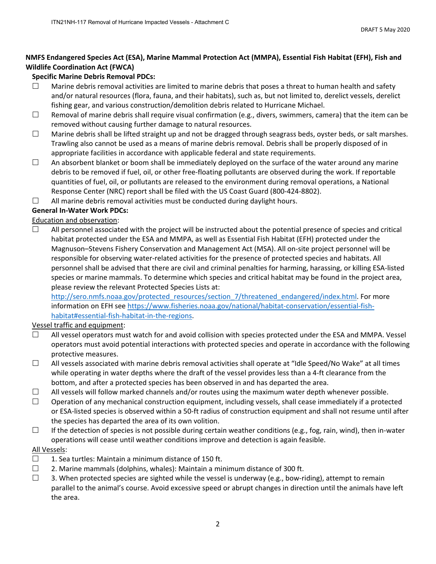## **NMFS Endangered Species Act (ESA), Marine Mammal Protection Act (MMPA), Essential Fish Habitat (EFH), Fish and Wildlife Coordination Act (FWCA)**

## **Specific Marine Debris Removal PDCs:**

- $\Box$  Marine debris removal activities are limited to marine debris that poses a threat to human health and safety and/or natural resources (flora, fauna, and their habitats), such as, but not limited to, derelict vessels, derelict fishing gear, and various construction/demolition debris related to Hurricane Michael.
- $\Box$  Removal of marine debris shall require visual confirmation (e.g., divers, swimmers, camera) that the item can be removed without causing further damage to natural resources.
- $\Box$  Marine debris shall be lifted straight up and not be dragged through seagrass beds, oyster beds, or salt marshes. Trawling also cannot be used as a means of marine debris removal. Debris shall be properly disposed of in appropriate facilities in accordance with applicable federal and state requirements.
- $\Box$  An absorbent blanket or boom shall be immediately deployed on the surface of the water around any marine debris to be removed if fuel, oil, or other free‐floating pollutants are observed during the work. If reportable quantities of fuel, oil, or pollutants are released to the environment during removal operations, a National Response Center (NRC) report shall be filed with the US Coast Guard (800‐424‐8802).
- $\Box$  All marine debris removal activities must be conducted during daylight hours.

## **General In‐Water Work PDCs:**

## Education and observation:

 $\Box$  All personnel associated with the project will be instructed about the potential presence of species and critical habitat protected under the ESA and MMPA, as well as Essential Fish Habitat (EFH) protected under the Magnuson–Stevens Fishery Conservation and Management Act (MSA). All on‐site project personnel will be responsible for observing water‐related activities for the presence of protected species and habitats. All personnel shall be advised that there are civil and criminal penalties for harming, harassing, or killing ESA‐listed species or marine mammals. To determine which species and critical habitat may be found in the project area, please review the relevant Protected Species Lists at:

http://sero.nmfs.noaa.gov/protected\_resources/section\_7/threatened\_endangered/index.html. For more information on EFH see https://www.fisheries.noaa.gov/national/habitat-conservation/essential-fishhabitat#essential-fish-habitat-in-the-regions.

## Vessel traffic and equipment:

- $\Box$  All vessel operators must watch for and avoid collision with species protected under the ESA and MMPA. Vessel operators must avoid potential interactions with protected species and operate in accordance with the following protective measures.
- $\Box$  All vessels associated with marine debris removal activities shall operate at "Idle Speed/No Wake" at all times while operating in water depths where the draft of the vessel provides less than a 4-ft clearance from the bottom, and after a protected species has been observed in and has departed the area.
- $\Box$  All vessels will follow marked channels and/or routes using the maximum water depth whenever possible.
- $\Box$  Operation of any mechanical construction equipment, including vessels, shall cease immediately if a protected or ESA‐listed species is observed within a 50‐ft radius of construction equipment and shall not resume until after the species has departed the area of its own volition.
- $\Box$  If the detection of species is not possible during certain weather conditions (e.g., fog, rain, wind), then in-water operations will cease until weather conditions improve and detection is again feasible.

## All Vessels:

- $\Box$  1. Sea turtles: Maintain a minimum distance of 150 ft.
- $\Box$  2. Marine mammals (dolphins, whales): Maintain a minimum distance of 300 ft.
- $\Box$  3. When protected species are sighted while the vessel is underway (e.g., bow-riding), attempt to remain parallel to the animal's course. Avoid excessive speed or abrupt changes in direction until the animals have left the area.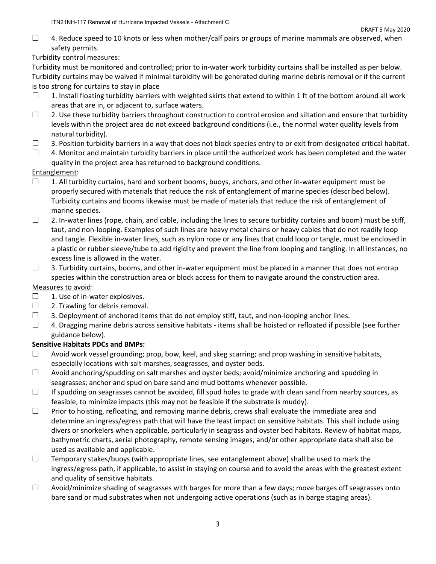$\Box$  4. Reduce speed to 10 knots or less when mother/calf pairs or groups of marine mammals are observed, when safety permits.

## Turbidity control measures:

Turbidity must be monitored and controlled; prior to in‐water work turbidity curtains shall be installed as per below. Turbidity curtains may be waived if minimal turbidity will be generated during marine debris removal or if the current is too strong for curtains to stay in place

- $\Box$  1. Install floating turbidity barriers with weighted skirts that extend to within 1 ft of the bottom around all work areas that are in, or adjacent to, surface waters.
- $\Box$  2. Use these turbidity barriers throughout construction to control erosion and siltation and ensure that turbidity levels within the project area do not exceed background conditions (i.e., the normal water quality levels from natural turbidity).
- $\Box$  3. Position turbidity barriers in a way that does not block species entry to or exit from designated critical habitat.
- $\Box$  4. Monitor and maintain turbidity barriers in place until the authorized work has been completed and the water quality in the project area has returned to background conditions.

# Entanglement:

- $\Box$  1. All turbidity curtains, hard and sorbent booms, buoys, anchors, and other in-water equipment must be properly secured with materials that reduce the risk of entanglement of marine species (described below). Turbidity curtains and booms likewise must be made of materials that reduce the risk of entanglement of marine species.
- $\Box$  2. In-water lines (rope, chain, and cable, including the lines to secure turbidity curtains and boom) must be stiff, taut, and non‐looping. Examples of such lines are heavy metal chains or heavy cables that do not readily loop and tangle. Flexible in‐water lines, such as nylon rope or any lines that could loop or tangle, must be enclosed in a plastic or rubber sleeve/tube to add rigidity and prevent the line from looping and tangling. In all instances, no excess line is allowed in the water.
- $\Box$  3. Turbidity curtains, booms, and other in-water equipment must be placed in a manner that does not entrap species within the construction area or block access for them to navigate around the construction area.

## Measures to avoid:

- $\Box$  1. Use of in-water explosives.
- $\Box$  2. Trawling for debris removal.
- $\Box$  3. Deployment of anchored items that do not employ stiff, taut, and non-looping anchor lines.
- $\Box$  4. Dragging marine debris across sensitive habitats items shall be hoisted or refloated if possible (see further guidance below).

# **Sensitive Habitats PDCs and BMPs:**

- $\Box$  Avoid work vessel grounding; prop, bow, keel, and skeg scarring; and prop washing in sensitive habitats, especially locations with salt marshes, seagrasses, and oyster beds.
- $\Box$  Avoid anchoring/spudding on salt marshes and oyster beds; avoid/minimize anchoring and spudding in seagrasses; anchor and spud on bare sand and mud bottoms whenever possible.
- $\Box$  If spudding on seagrasses cannot be avoided, fill spud holes to grade with clean sand from nearby sources, as feasible, to minimize impacts (this may not be feasible if the substrate is muddy).
- $\Box$  Prior to hoisting, refloating, and removing marine debris, crews shall evaluate the immediate area and determine an ingress/egress path that will have the least impact on sensitive habitats. This shall include using divers or snorkelers when applicable, particularly in seagrass and oyster bed habitats. Review of habitat maps, bathymetric charts, aerial photography, remote sensing images, and/or other appropriate data shall also be used as available and applicable.
- $\Box$  Temporary stakes/buoys (with appropriate lines, see entanglement above) shall be used to mark the ingress/egress path, if applicable, to assist in staying on course and to avoid the areas with the greatest extent and quality of sensitive habitats.
- $\Box$  Avoid/minimize shading of seagrasses with barges for more than a few days; move barges off seagrasses onto bare sand or mud substrates when not undergoing active operations (such as in barge staging areas).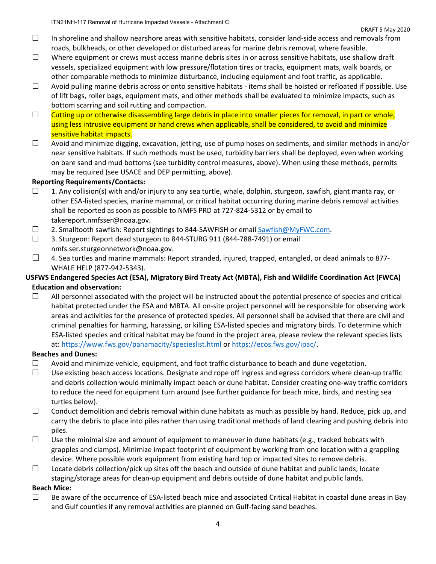- $\Box$  In shoreline and shallow nearshore areas with sensitive habitats, consider land-side access and removals from roads, bulkheads, or other developed or disturbed areas for marine debris removal, where feasible.
- $\square$  Where equipment or crews must access marine debris sites in or across sensitive habitats, use shallow draft vessels, specialized equipment with low pressure/flotation tires or tracks, equipment mats, walk boards, or other comparable methods to minimize disturbance, including equipment and foot traffic, as applicable.
- $\Box$  Avoid pulling marine debris across or onto sensitive habitats items shall be hoisted or refloated if possible. Use of lift bags, roller bags, equipment mats, and other methods shall be evaluated to minimize impacts, such as bottom scarring and soil rutting and compaction.
- $\Box$  Cutting up or otherwise disassembling large debris in place into smaller pieces for removal, in part or whole, using less intrusive equipment or hand crews when applicable, shall be considered, to avoid and minimize sensitive habitat impacts.
- $\Box$  Avoid and minimize digging, excavation, jetting, use of pump hoses on sediments, and similar methods in and/or near sensitive habitats. If such methods must be used, turbidity barriers shall be deployed, even when working on bare sand and mud bottoms (see turbidity control measures, above). When using these methods, permits may be required (see USACE and DEP permitting, above).

### **Reporting Requirements/Contacts:**

- $\Box$  1. Any collision(s) with and/or injury to any sea turtle, whale, dolphin, sturgeon, sawfish, giant manta ray, or other ESA‐listed species, marine mammal, or critical habitat occurring during marine debris removal activities shall be reported as soon as possible to NMFS PRD at 727‐824‐5312 or by email to takereport.nmfsser@noaa.gov.
- 2. Smalltooth sawfish: Report sightings to 844‐SAWFISH or email Sawfish@MyFWC.com.
- $\Box$  3. Sturgeon: Report dead sturgeon to 844-STURG 911 (844-788-7491) or email nmfs.ser.sturgeonnetwork@noaa.gov.
- $\Box$  4. Sea turtles and marine mammals: Report stranded, injured, trapped, entangled, or dead animals to 877-WHALE HELP (877‐942‐5343).

## **USFWS Endangered Species Act (ESA), Migratory Bird Treaty Act (MBTA), Fish and Wildlife Coordination Act (FWCA) Education and observation:**

 $\Box$  All personnel associated with the project will be instructed about the potential presence of species and critical habitat protected under the ESA and MBTA. All on‐site project personnel will be responsible for observing work areas and activities for the presence of protected species. All personnel shall be advised that there are civil and criminal penalties for harming, harassing, or killing ESA‐listed species and migratory birds. To determine which ESA‐listed species and critical habitat may be found in the project area, please review the relevant species lists at: https://www.fws.gov/panamacity/specieslist.html or https://ecos.fws.gov/ipac/.

## **Beaches and Dunes:**

- $\Box$  Avoid and minimize vehicle, equipment, and foot traffic disturbance to beach and dune vegetation.
- Use existing beach access locations. Designate and rope off ingress and egress corridors where clean‐up traffic and debris collection would minimally impact beach or dune habitat. Consider creating one‐way traffic corridors to reduce the need for equipment turn around (see further guidance for beach mice, birds, and nesting sea turtles below).
- $\Box$  Conduct demolition and debris removal within dune habitats as much as possible by hand. Reduce, pick up, and carry the debris to place into piles rather than using traditional methods of land clearing and pushing debris into piles.
- $\Box$  Use the minimal size and amount of equipment to maneuver in dune habitats (e.g., tracked bobcats with grapples and clamps). Minimize impact footprint of equipment by working from one location with a grappling device. Where possible work equipment from existing hard top or impacted sites to remove debris.
- $\Box$  Locate debris collection/pick up sites off the beach and outside of dune habitat and public lands; locate staging/storage areas for clean‐up equipment and debris outside of dune habitat and public lands.

#### **Beach Mice:**

 $\Box$  Be aware of the occurrence of ESA-listed beach mice and associated Critical Habitat in coastal dune areas in Bay and Gulf counties if any removal activities are planned on Gulf‐facing sand beaches.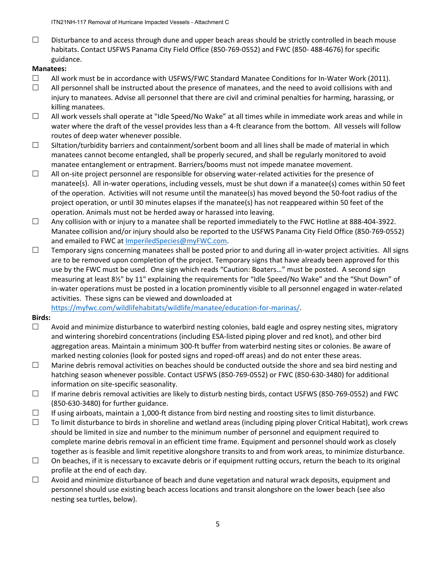$\Box$  Disturbance to and access through dune and upper beach areas should be strictly controlled in beach mouse habitats. Contact USFWS Panama City Field Office (850‐769‐0552) and FWC (850‐ 488‐4676) for specific guidance.

### **Manatees:**

- $\Box$  All work must be in accordance with USFWS/FWC Standard Manatee Conditions for In-Water Work (2011).
- $\Box$  All personnel shall be instructed about the presence of manatees, and the need to avoid collisions with and injury to manatees. Advise all personnel that there are civil and criminal penalties for harming, harassing, or killing manatees.
- $\Box$  All work vessels shall operate at "Idle Speed/No Wake" at all times while in immediate work areas and while in water where the draft of the vessel provides less than a 4-ft clearance from the bottom. All vessels will follow routes of deep water whenever possible.
- $\square$  Siltation/turbidity barriers and containment/sorbent boom and all lines shall be made of material in which manatees cannot become entangled, shall be properly secured, and shall be regularly monitored to avoid manatee entanglement or entrapment. Barriers/booms must not impede manatee movement.
- $\Box$  All on-site project personnel are responsible for observing water-related activities for the presence of manatee(s). All in-water operations, including vessels, must be shut down if a manatee(s) comes within 50 feet of the operation. Activities will not resume until the manatee(s) has moved beyond the 50‐foot radius of the project operation, or until 30 minutes elapses if the manatee(s) has not reappeared within 50 feet of the operation. Animals must not be herded away or harassed into leaving.
- $\Box$  Any collision with or injury to a manatee shall be reported immediately to the FWC Hotline at 888-404-3922. Manatee collision and/or injury should also be reported to the USFWS Panama City Field Office (850‐769‐0552) and emailed to FWC at ImperiledSpecies@myFWC.com.
- Temporary signs concerning manatees shall be posted prior to and during all in‐water project activities. All signs are to be removed upon completion of the project. Temporary signs that have already been approved for this use by the FWC must be used. One sign which reads "Caution: Boaters…" must be posted. A second sign measuring at least 8½" by 11" explaining the requirements for "Idle Speed/No Wake" and the "Shut Down" of in-water operations must be posted in a location prominently visible to all personnel engaged in water-related activities. These signs can be viewed and downloaded at

https://myfwc.com/wildlifehabitats/wildlife/manatee/education-for-marinas/.

#### **Birds:**

- $\Box$  Avoid and minimize disturbance to waterbird nesting colonies, bald eagle and osprey nesting sites, migratory and wintering shorebird concentrations (including ESA‐listed piping plover and red knot), and other bird aggregation areas. Maintain a minimum 300‐ft buffer from waterbird nesting sites or colonies. Be aware of marked nesting colonies (look for posted signs and roped‐off areas) and do not enter these areas.
- $\Box$  Marine debris removal activities on beaches should be conducted outside the shore and sea bird nesting and hatching season whenever possible. Contact USFWS (850‐769‐0552) or FWC (850‐630‐3480) for additional information on site‐specific seasonality.
- $□$  If marine debris removal activities are likely to disturb nesting birds, contact USFWS (850-769-0552) and FWC (850‐630‐3480) for further guidance.
- $\Box$  If using airboats, maintain a 1,000-ft distance from bird nesting and roosting sites to limit disturbance.
- $\Box$  To limit disturbance to birds in shoreline and wetland areas (including piping plover Critical Habitat), work crews should be limited in size and number to the minimum number of personnel and equipment required to complete marine debris removal in an efficient time frame. Equipment and personnel should work as closely together as is feasible and limit repetitive alongshore transits to and from work areas, to minimize disturbance.
- $\Box$  On beaches, if it is necessary to excavate debris or if equipment rutting occurs, return the beach to its original profile at the end of each day.
- $\Box$  Avoid and minimize disturbance of beach and dune vegetation and natural wrack deposits, equipment and personnel should use existing beach access locations and transit alongshore on the lower beach (see also nesting sea turtles, below).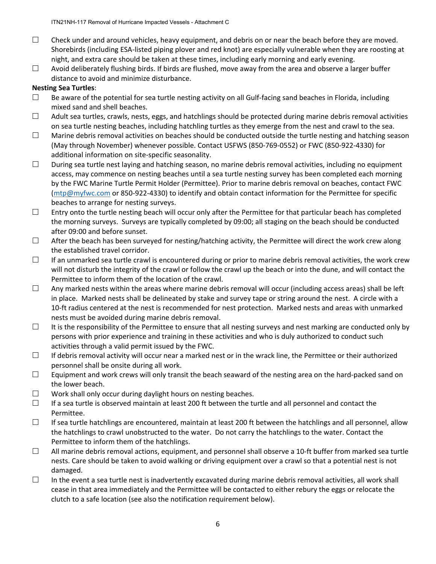- $\Box$  Check under and around vehicles, heavy equipment, and debris on or near the beach before they are moved. Shorebirds (including ESA‐listed piping plover and red knot) are especially vulnerable when they are roosting at night, and extra care should be taken at these times, including early morning and early evening.
- $\Box$  Avoid deliberately flushing birds. If birds are flushed, move away from the area and observe a larger buffer distance to avoid and minimize disturbance.

## **Nesting Sea Turtles**:

- $\Box$  Be aware of the potential for sea turtle nesting activity on all Gulf-facing sand beaches in Florida, including mixed sand and shell beaches.
- $\Box$  Adult sea turtles, crawls, nests, eggs, and hatchlings should be protected during marine debris removal activities on sea turtle nesting beaches, including hatchling turtles as they emerge from the nest and crawl to the sea.
- $\Box$  Marine debris removal activities on beaches should be conducted outside the turtle nesting and hatching season (May through November) whenever possible. Contact USFWS (850‐769‐0552) or FWC (850‐922‐4330) for additional information on site‐specific seasonality.
- $\Box$  During sea turtle nest laying and hatching season, no marine debris removal activities, including no equipment access, may commence on nesting beaches until a sea turtle nesting survey has been completed each morning by the FWC Marine Turtle Permit Holder (Permittee). Prior to marine debris removal on beaches, contact FWC (mtp@myfwc.com or 850‐922‐4330) to identify and obtain contact information for the Permittee for specific beaches to arrange for nesting surveys.
- $\Box$  Entry onto the turtle nesting beach will occur only after the Permittee for that particular beach has completed the morning surveys. Surveys are typically completed by 09:00; all staging on the beach should be conducted after 09:00 and before sunset.
- $\Box$  After the beach has been surveyed for nesting/hatching activity, the Permittee will direct the work crew along the established travel corridor.
- $\Box$  If an unmarked sea turtle crawl is encountered during or prior to marine debris removal activities, the work crew will not disturb the integrity of the crawl or follow the crawl up the beach or into the dune, and will contact the Permittee to inform them of the location of the crawl.
- $\Box$  Any marked nests within the areas where marine debris removal will occur (including access areas) shall be left in place. Marked nests shall be delineated by stake and survey tape or string around the nest. A circle with a 10‐ft radius centered at the nest is recommended for nest protection. Marked nests and areas with unmarked nests must be avoided during marine debris removal.
- $\Box$  It is the responsibility of the Permittee to ensure that all nesting surveys and nest marking are conducted only by persons with prior experience and training in these activities and who is duly authorized to conduct such activities through a valid permit issued by the FWC.
- $\Box$  If debris removal activity will occur near a marked nest or in the wrack line, the Permittee or their authorized personnel shall be onsite during all work.
- $\Box$  Equipment and work crews will only transit the beach seaward of the nesting area on the hard-packed sand on the lower beach.
- $\Box$  Work shall only occur during daylight hours on nesting beaches.
- $\Box$  If a sea turtle is observed maintain at least 200 ft between the turtle and all personnel and contact the Permittee.
- $\Box$  If sea turtle hatchlings are encountered, maintain at least 200 ft between the hatchlings and all personnel, allow the hatchlings to crawl unobstructed to the water. Do not carry the hatchlings to the water. Contact the Permittee to inform them of the hatchlings.
- $\Box$  All marine debris removal actions, equipment, and personnel shall observe a 10-ft buffer from marked sea turtle nests. Care should be taken to avoid walking or driving equipment over a crawl so that a potential nest is not damaged.
- $\Box$  In the event a sea turtle nest is inadvertently excavated during marine debris removal activities, all work shall cease in that area immediately and the Permittee will be contacted to either rebury the eggs or relocate the clutch to a safe location (see also the notification requirement below).